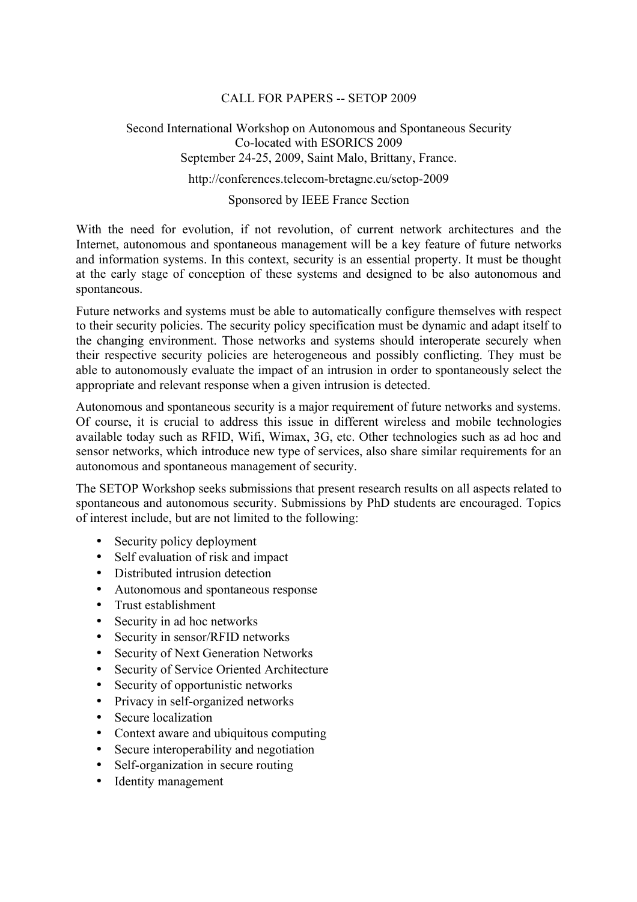# CALL FOR PAPERS -- SETOP 2009

# Second International Workshop on Autonomous and Spontaneous Security Co-located with ESORICS 2009 September 24-25, 2009, Saint Malo, Brittany, France.

http://conferences.telecom-bretagne.eu/setop-2009

#### Sponsored by IEEE France Section

With the need for evolution, if not revolution, of current network architectures and the Internet, autonomous and spontaneous management will be a key feature of future networks and information systems. In this context, security is an essential property. It must be thought at the early stage of conception of these systems and designed to be also autonomous and spontaneous.

Future networks and systems must be able to automatically configure themselves with respect to their security policies. The security policy specification must be dynamic and adapt itself to the changing environment. Those networks and systems should interoperate securely when their respective security policies are heterogeneous and possibly conflicting. They must be able to autonomously evaluate the impact of an intrusion in order to spontaneously select the appropriate and relevant response when a given intrusion is detected.

Autonomous and spontaneous security is a major requirement of future networks and systems. Of course, it is crucial to address this issue in different wireless and mobile technologies available today such as RFID, Wifi, Wimax, 3G, etc. Other technologies such as ad hoc and sensor networks, which introduce new type of services, also share similar requirements for an autonomous and spontaneous management of security.

The SETOP Workshop seeks submissions that present research results on all aspects related to spontaneous and autonomous security. Submissions by PhD students are encouraged. Topics of interest include, but are not limited to the following:

- Security policy deployment
- Self evaluation of risk and impact
- Distributed intrusion detection
- Autonomous and spontaneous response
- Trust establishment
- Security in ad hoc networks
- Security in sensor/RFID networks
- Security of Next Generation Networks
- Security of Service Oriented Architecture
- Security of opportunistic networks
- Privacy in self-organized networks
- Secure localization
- Context aware and ubiquitous computing
- Secure interoperability and negotiation
- Self-organization in secure routing
- Identity management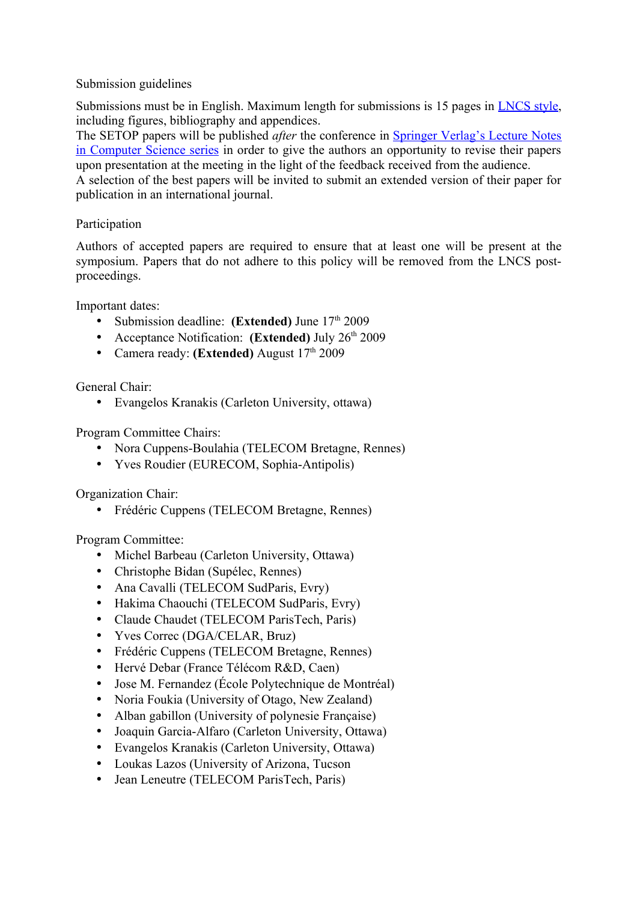# Submission guidelines

Submissions must be in English. Maximum length for submissions is 15 pages in [LNCS style,](http://www.springer.com/east/home/computer/lncs?SGWID=5-164-7-72376-0&teaserId=45515&CENTER_ID=73665#anchor5) including figures, bibliography and appendices.

The SETOP papers will be published *after* the conference in [Springer Verlag's Lecture Notes](http://www.springer.com/lncs) [in Computer Science series](http://www.springer.com/lncs) in order to give the authors an opportunity to revise their papers upon presentation at the meeting in the light of the feedback received from the audience.

A selection of the best papers will be invited to submit an extended version of their paper for publication in an international journal.

# Participation

Authors of accepted papers are required to ensure that at least one will be present at the symposium. Papers that do not adhere to this policy will be removed from the LNCS postproceedings.

Important dates:

- Submission deadline: **(Extended)** June  $17<sup>th</sup> 2009$
- Acceptance Notification: **(Extended)** July 26<sup>th</sup> 2009
- Camera ready: **(Extended)** August 17<sup>th</sup> 2009

General Chair:

• Evangelos Kranakis (Carleton University, ottawa)

Program Committee Chairs:

- Nora Cuppens-Boulahia (TELECOM Bretagne, Rennes)
- Yves Roudier (EURECOM, Sophia-Antipolis)

Organization Chair:

• Frédéric Cuppens (TELECOM Bretagne, Rennes)

Program Committee:

- Michel Barbeau (Carleton University, Ottawa)
- Christophe Bidan (Supélec, Rennes)
- Ana Cavalli (TELECOM SudParis, Evry)
- Hakima Chaouchi (TELECOM SudParis, Evry)
- Claude Chaudet (TELECOM ParisTech, Paris)
- Yves Correc (DGA/CELAR, Bruz)
- Frédéric Cuppens (TELECOM Bretagne, Rennes)
- Hervé Debar (France Télécom R&D, Caen)
- Jose M. Fernandez (École Polytechnique de Montréal)
- Noria Foukia (University of Otago, New Zealand)
- Alban gabillon (University of polynesie Française)
- Joaquin Garcia-Alfaro (Carleton University, Ottawa)
- Evangelos Kranakis (Carleton University, Ottawa)
- Loukas Lazos (University of Arizona, Tucson
- Jean Leneutre (TELECOM ParisTech, Paris)